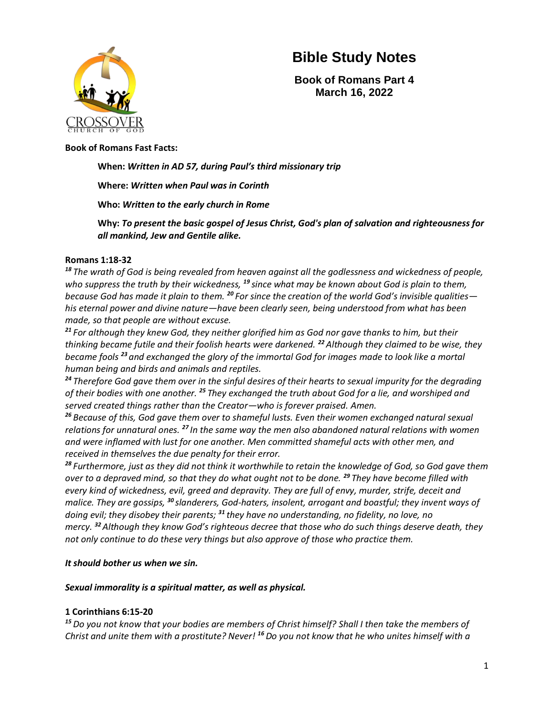

**Book of Romans Part 4 March 16, 2022**

#### **Book of Romans Fast Facts:**

### **When:** *Written in AD 57, during Paul's third missionary trip*

### **Where:** *Written when Paul was in Corinth*

**Who:** *Written to the early church in Rome*

**Why:** *To present the basic gospel of Jesus Christ, God's plan of salvation and righteousness for all mankind, Jew and Gentile alike.*

#### **Romans 1:18-32**

*<sup>18</sup> The wrath of God is being revealed from heaven against all the godlessness and wickedness of people, who suppress the truth by their wickedness, <sup>19</sup> since what may be known about God is plain to them, because God has made it plain to them. <sup>20</sup> For since the creation of the world God's invisible qualities his eternal power and divine nature—have been clearly seen, being understood from what has been made, so that people are without excuse.*

*<sup>21</sup> For although they knew God, they neither glorified him as God nor gave thanks to him, but their thinking became futile and their foolish hearts were darkened. <sup>22</sup>Although they claimed to be wise, they became fools <sup>23</sup> and exchanged the glory of the immortal God for images made to look like a mortal human being and birds and animals and reptiles.*

*<sup>24</sup> Therefore God gave them over in the sinful desires of their hearts to sexual impurity for the degrading of their bodies with one another. <sup>25</sup> They exchanged the truth about God for a lie, and worshiped and served created things rather than the Creator—who is forever praised. Amen.*

*<sup>26</sup> Because of this, God gave them over to shameful lusts. Even their women exchanged natural sexual relations for unnatural ones. <sup>27</sup> In the same way the men also abandoned natural relations with women and were inflamed with lust for one another. Men committed shameful acts with other men, and received in themselves the due penalty for their error.*

*<sup>28</sup> Furthermore, just as they did not think it worthwhile to retain the knowledge of God, so God gave them over to a depraved mind, so that they do what ought not to be done. <sup>29</sup> They have become filled with every kind of wickedness, evil, greed and depravity. They are full of envy, murder, strife, deceit and malice. They are gossips, <sup>30</sup> slanderers, God-haters, insolent, arrogant and boastful; they invent ways of doing evil; they disobey their parents; <sup>31</sup> they have no understanding, no fidelity, no love, no mercy. <sup>32</sup>Although they know God's righteous decree that those who do such things deserve death, they not only continue to do these very things but also approve of those who practice them.*

### *It should bother us when we sin.*

### *Sexual immorality is a spiritual matter, as well as physical.*

### **1 Corinthians 6:15-20**

*<sup>15</sup> Do you not know that your bodies are members of Christ himself? Shall I then take the members of Christ and unite them with a prostitute? Never! <sup>16</sup> Do you not know that he who unites himself with a*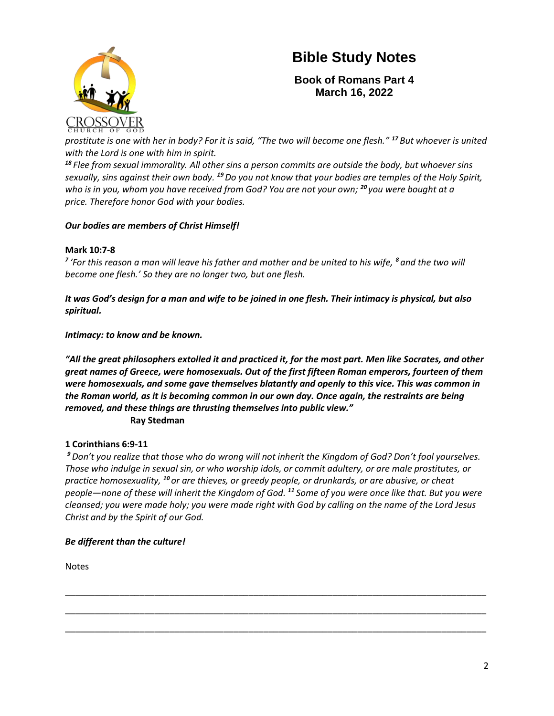

**Book of Romans Part 4 March 16, 2022**

*prostitute is one with her in body? For it is said, "The two will become one flesh." <sup>17</sup> But whoever is united with the Lord is one with him in spirit.*

*<sup>18</sup> Flee from sexual immorality. All other sins a person commits are outside the body, but whoever sins sexually, sins against their own body. <sup>19</sup>Do you not know that your bodies are temples of the Holy Spirit, who is in you, whom you have received from God? You are not your own; <sup>20</sup> you were bought at a price. Therefore honor God with your bodies.*

## *Our bodies are members of Christ Himself!*

## **Mark 10:7-8**

*7 'For this reason a man will leave his father and mother and be united to his wife, <sup>8</sup> and the two will become one flesh.' So they are no longer two, but one flesh.*

*It was God's design for a man and wife to be joined in one flesh. Their intimacy is physical, but also spiritual.*

*Intimacy: to know and be known.* 

*"All the great philosophers extolled it and practiced it, for the most part. Men like Socrates, and other great names of Greece, were homosexuals. Out of the first fifteen Roman emperors, fourteen of them were homosexuals, and some gave themselves blatantly and openly to this vice. This was common in the Roman world, as it is becoming common in our own day. Once again, the restraints are being removed, and these things are thrusting themselves into public view."* **Ray Stedman**

## **1 Corinthians 6:9-11**

*<sup>9</sup> Don't you realize that those who do wrong will not inherit the Kingdom of God? Don't fool yourselves. Those who indulge in sexual sin, or who worship idols, or commit adultery, or are male prostitutes, or practice homosexuality, <sup>10</sup> or are thieves, or greedy people, or drunkards, or are abusive, or cheat people—none of these will inherit the Kingdom of God. <sup>11</sup> Some of you were once like that. But you were cleansed; you were made holy; you were made right with God by calling on the name of the Lord Jesus Christ and by the Spirit of our God.*

\_\_\_\_\_\_\_\_\_\_\_\_\_\_\_\_\_\_\_\_\_\_\_\_\_\_\_\_\_\_\_\_\_\_\_\_\_\_\_\_\_\_\_\_\_\_\_\_\_\_\_\_\_\_\_\_\_\_\_\_\_\_\_\_\_\_\_\_\_\_\_\_\_\_\_\_\_\_\_\_\_\_\_\_\_

\_\_\_\_\_\_\_\_\_\_\_\_\_\_\_\_\_\_\_\_\_\_\_\_\_\_\_\_\_\_\_\_\_\_\_\_\_\_\_\_\_\_\_\_\_\_\_\_\_\_\_\_\_\_\_\_\_\_\_\_\_\_\_\_\_\_\_\_\_\_\_\_\_\_\_\_\_\_\_\_\_\_\_\_\_

\_\_\_\_\_\_\_\_\_\_\_\_\_\_\_\_\_\_\_\_\_\_\_\_\_\_\_\_\_\_\_\_\_\_\_\_\_\_\_\_\_\_\_\_\_\_\_\_\_\_\_\_\_\_\_\_\_\_\_\_\_\_\_\_\_\_\_\_\_\_\_\_\_\_\_\_\_\_\_\_\_\_\_\_\_

## *Be different than the culture!*

Notes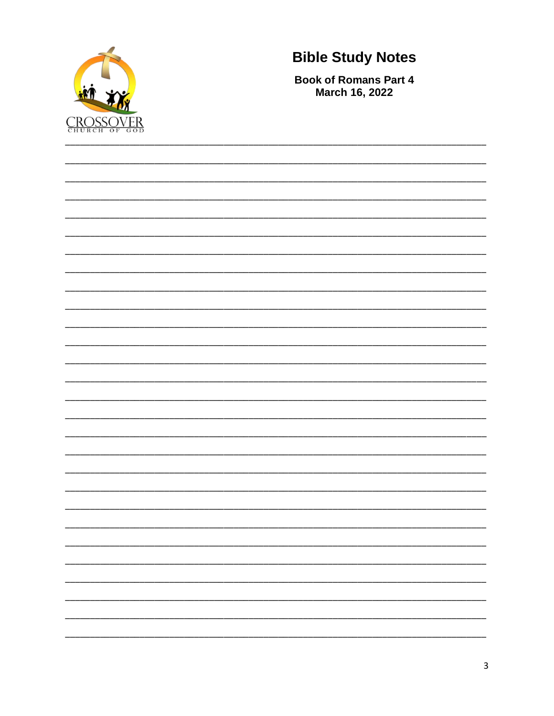

**Book of Romans Part 4 March 16, 2022**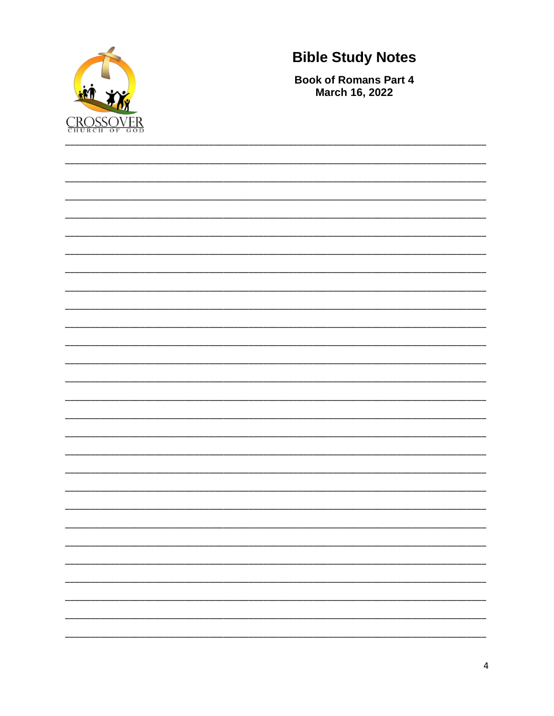

**Book of Romans Part 4 March 16, 2022**